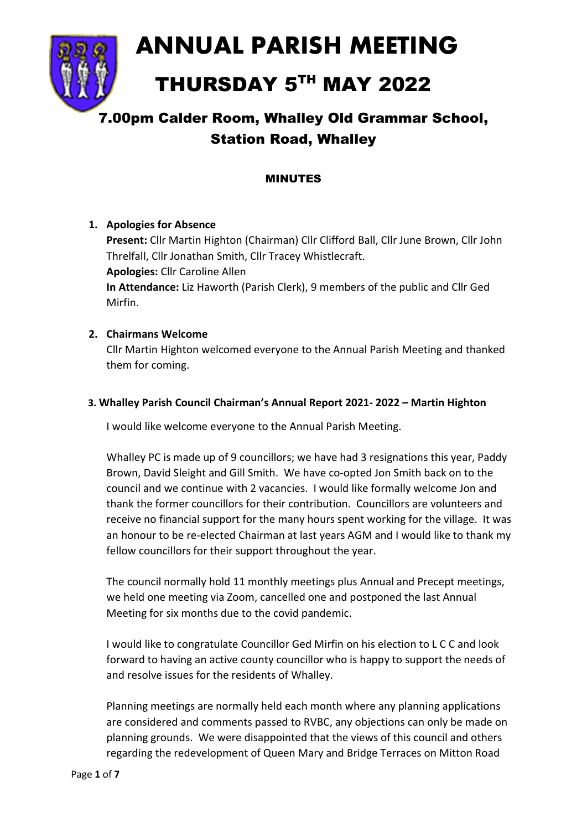ANNUAL PARISH MEETING

# THURSDAY 5TH MAY 2022

# 7.00pm Calder Room, Whalley Old Grammar School, Station Road, Whalley

# MINUTES

# 1. Apologies for Absence

Present: Cllr Martin Highton (Chairman) Cllr Clifford Ball, Cllr June Brown, Cllr John Threlfall, Cllr Jonathan Smith, Cllr Tracey Whistlecraft. Apologies: Cllr Caroline Allen

In Attendance: Liz Haworth (Parish Clerk), 9 members of the public and Cllr Ged Mirfin.

# 2. Chairmans Welcome

Cllr Martin Highton welcomed everyone to the Annual Parish Meeting and thanked them for coming.

# 3. Whalley Parish Council Chairman's Annual Report 2021- 2022 – Martin Highton

I would like welcome everyone to the Annual Parish Meeting.

Whalley PC is made up of 9 councillors; we have had 3 resignations this year, Paddy Brown, David Sleight and Gill Smith. We have co-opted Jon Smith back on to the council and we continue with 2 vacancies. I would like formally welcome Jon and thank the former councillors for their contribution. Councillors are volunteers and receive no financial support for the many hours spent working for the village. It was an honour to be re-elected Chairman at last years AGM and I would like to thank my fellow councillors for their support throughout the year.

The council normally hold 11 monthly meetings plus Annual and Precept meetings, we held one meeting via Zoom, cancelled one and postponed the last Annual Meeting for six months due to the covid pandemic.

I would like to congratulate Councillor Ged Mirfin on his election to L C C and look forward to having an active county councillor who is happy to support the needs of and resolve issues for the residents of Whalley.

Planning meetings are normally held each month where any planning applications are considered and comments passed to RVBC, any objections can only be made on planning grounds. We were disappointed that the views of this council and others regarding the redevelopment of Queen Mary and Bridge Terraces on Mitton Road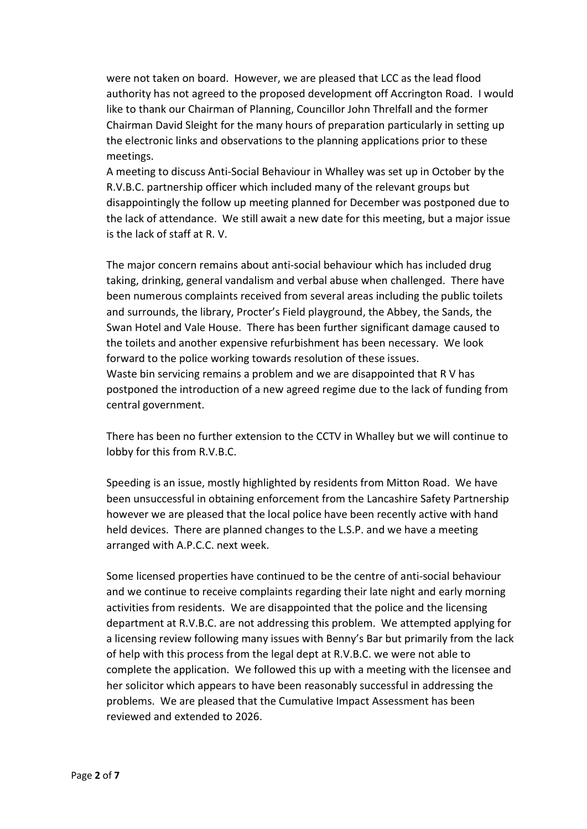were not taken on board. However, we are pleased that LCC as the lead flood authority has not agreed to the proposed development off Accrington Road. I would like to thank our Chairman of Planning, Councillor John Threlfall and the former Chairman David Sleight for the many hours of preparation particularly in setting up the electronic links and observations to the planning applications prior to these meetings.

A meeting to discuss Anti-Social Behaviour in Whalley was set up in October by the R.V.B.C. partnership officer which included many of the relevant groups but disappointingly the follow up meeting planned for December was postponed due to the lack of attendance. We still await a new date for this meeting, but a major issue is the lack of staff at R. V.

The major concern remains about anti-social behaviour which has included drug taking, drinking, general vandalism and verbal abuse when challenged. There have been numerous complaints received from several areas including the public toilets and surrounds, the library, Procter's Field playground, the Abbey, the Sands, the Swan Hotel and Vale House. There has been further significant damage caused to the toilets and another expensive refurbishment has been necessary. We look forward to the police working towards resolution of these issues. Waste bin servicing remains a problem and we are disappointed that R V has postponed the introduction of a new agreed regime due to the lack of funding from central government.

There has been no further extension to the CCTV in Whalley but we will continue to lobby for this from R.V.B.C.

Speeding is an issue, mostly highlighted by residents from Mitton Road. We have been unsuccessful in obtaining enforcement from the Lancashire Safety Partnership however we are pleased that the local police have been recently active with hand held devices. There are planned changes to the L.S.P. and we have a meeting arranged with A.P.C.C. next week.

Some licensed properties have continued to be the centre of anti-social behaviour and we continue to receive complaints regarding their late night and early morning activities from residents. We are disappointed that the police and the licensing department at R.V.B.C. are not addressing this problem. We attempted applying for a licensing review following many issues with Benny's Bar but primarily from the lack of help with this process from the legal dept at R.V.B.C. we were not able to complete the application. We followed this up with a meeting with the licensee and her solicitor which appears to have been reasonably successful in addressing the problems. We are pleased that the Cumulative Impact Assessment has been reviewed and extended to 2026.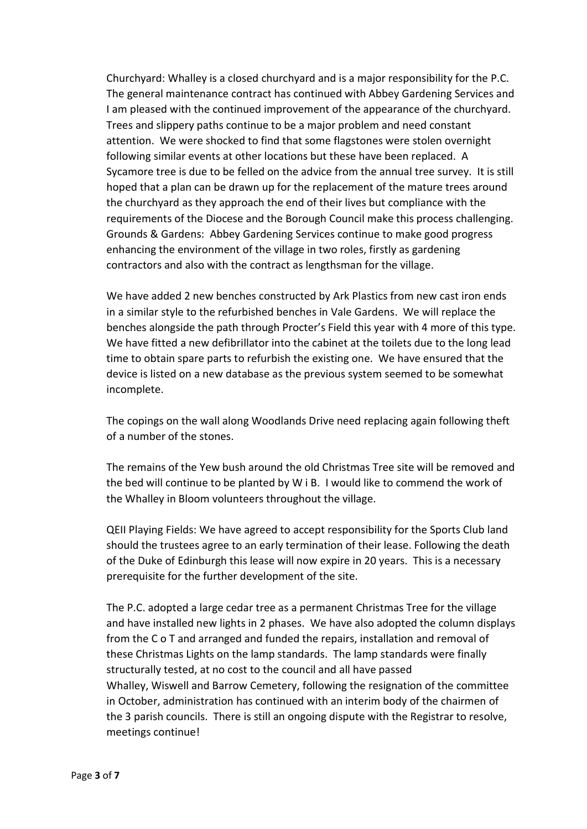Churchyard: Whalley is a closed churchyard and is a major responsibility for the P.C. The general maintenance contract has continued with Abbey Gardening Services and I am pleased with the continued improvement of the appearance of the churchyard. Trees and slippery paths continue to be a major problem and need constant attention. We were shocked to find that some flagstones were stolen overnight following similar events at other locations but these have been replaced. A Sycamore tree is due to be felled on the advice from the annual tree survey. It is still hoped that a plan can be drawn up for the replacement of the mature trees around the churchyard as they approach the end of their lives but compliance with the requirements of the Diocese and the Borough Council make this process challenging. Grounds & Gardens: Abbey Gardening Services continue to make good progress enhancing the environment of the village in two roles, firstly as gardening contractors and also with the contract as lengthsman for the village.

We have added 2 new benches constructed by Ark Plastics from new cast iron ends in a similar style to the refurbished benches in Vale Gardens. We will replace the benches alongside the path through Procter's Field this year with 4 more of this type. We have fitted a new defibrillator into the cabinet at the toilets due to the long lead time to obtain spare parts to refurbish the existing one. We have ensured that the device is listed on a new database as the previous system seemed to be somewhat incomplete.

The copings on the wall along Woodlands Drive need replacing again following theft of a number of the stones.

The remains of the Yew bush around the old Christmas Tree site will be removed and the bed will continue to be planted by W i B. I would like to commend the work of the Whalley in Bloom volunteers throughout the village.

QEII Playing Fields: We have agreed to accept responsibility for the Sports Club land should the trustees agree to an early termination of their lease. Following the death of the Duke of Edinburgh this lease will now expire in 20 years. This is a necessary prerequisite for the further development of the site.

The P.C. adopted a large cedar tree as a permanent Christmas Tree for the village and have installed new lights in 2 phases. We have also adopted the column displays from the C o T and arranged and funded the repairs, installation and removal of these Christmas Lights on the lamp standards. The lamp standards were finally structurally tested, at no cost to the council and all have passed Whalley, Wiswell and Barrow Cemetery, following the resignation of the committee in October, administration has continued with an interim body of the chairmen of the 3 parish councils. There is still an ongoing dispute with the Registrar to resolve, meetings continue!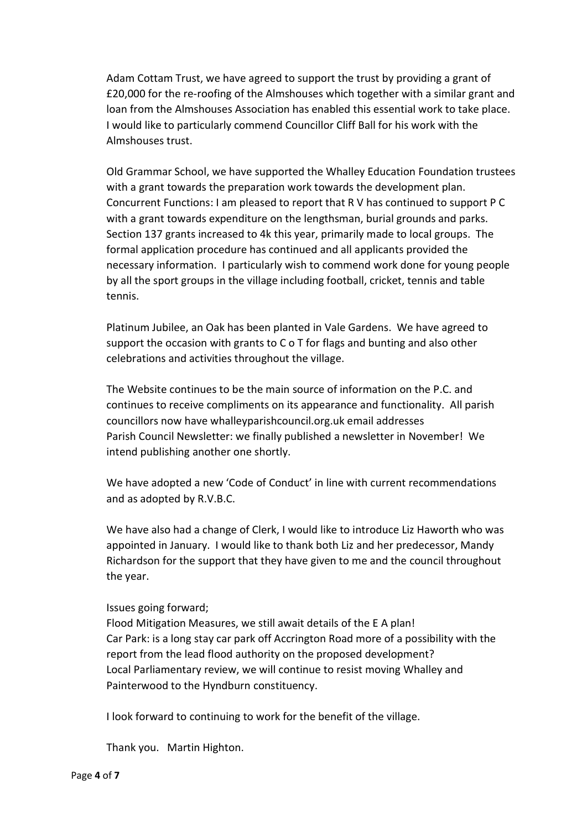Adam Cottam Trust, we have agreed to support the trust by providing a grant of £20,000 for the re-roofing of the Almshouses which together with a similar grant and loan from the Almshouses Association has enabled this essential work to take place. I would like to particularly commend Councillor Cliff Ball for his work with the Almshouses trust.

Old Grammar School, we have supported the Whalley Education Foundation trustees with a grant towards the preparation work towards the development plan. Concurrent Functions: I am pleased to report that R V has continued to support P C with a grant towards expenditure on the lengthsman, burial grounds and parks. Section 137 grants increased to 4k this year, primarily made to local groups. The formal application procedure has continued and all applicants provided the necessary information. I particularly wish to commend work done for young people by all the sport groups in the village including football, cricket, tennis and table tennis.

Platinum Jubilee, an Oak has been planted in Vale Gardens. We have agreed to support the occasion with grants to C o T for flags and bunting and also other celebrations and activities throughout the village.

The Website continues to be the main source of information on the P.C. and continues to receive compliments on its appearance and functionality. All parish councillors now have whalleyparishcouncil.org.uk email addresses Parish Council Newsletter: we finally published a newsletter in November! We intend publishing another one shortly.

We have adopted a new 'Code of Conduct' in line with current recommendations and as adopted by R.V.B.C.

We have also had a change of Clerk, I would like to introduce Liz Haworth who was appointed in January. I would like to thank both Liz and her predecessor, Mandy Richardson for the support that they have given to me and the council throughout the year.

#### Issues going forward;

Flood Mitigation Measures, we still await details of the E A plan! Car Park: is a long stay car park off Accrington Road more of a possibility with the report from the lead flood authority on the proposed development? Local Parliamentary review, we will continue to resist moving Whalley and Painterwood to the Hyndburn constituency.

I look forward to continuing to work for the benefit of the village.

Thank you. Martin Highton.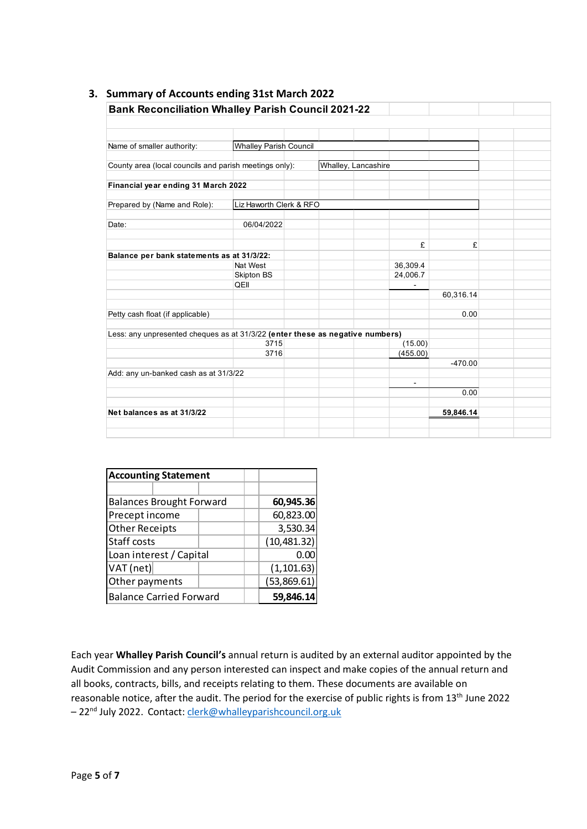| <b>Summary of Accounts ending 31st March 2022</b>                             |                               |                     |                      |           |  |
|-------------------------------------------------------------------------------|-------------------------------|---------------------|----------------------|-----------|--|
|                                                                               |                               |                     |                      |           |  |
| <b>Bank Reconciliation Whalley Parish Council 2021-22</b>                     |                               |                     |                      |           |  |
|                                                                               |                               |                     |                      |           |  |
|                                                                               |                               |                     |                      |           |  |
| Name of smaller authority:                                                    | <b>Whalley Parish Council</b> |                     |                      |           |  |
| County area (local councils and parish meetings only):                        |                               | Whalley, Lancashire |                      |           |  |
|                                                                               |                               |                     |                      |           |  |
| Financial year ending 31 March 2022                                           |                               |                     |                      |           |  |
| Prepared by (Name and Role):                                                  | Liz Haworth Clerk & RFO       |                     |                      |           |  |
|                                                                               |                               |                     |                      |           |  |
| Date:                                                                         | 06/04/2022                    |                     |                      |           |  |
|                                                                               |                               |                     |                      |           |  |
|                                                                               |                               |                     | £                    | E         |  |
| Balance per bank statements as at 31/3/22:                                    |                               |                     |                      |           |  |
|                                                                               | Nat West<br>Skipton BS        |                     | 36,309.4<br>24,006.7 |           |  |
|                                                                               | QEII                          |                     |                      |           |  |
|                                                                               |                               |                     |                      | 60,316.14 |  |
|                                                                               |                               |                     |                      |           |  |
| Petty cash float (if applicable)                                              |                               |                     |                      | 0.00      |  |
|                                                                               |                               |                     |                      |           |  |
| Less: any unpresented cheques as at 31/3/22 (enter these as negative numbers) | 3715                          |                     | (15.00)              |           |  |
|                                                                               | 3716                          |                     | (455.00)             |           |  |
|                                                                               |                               |                     |                      | $-470.00$ |  |
| Add: any un-banked cash as at 31/3/22                                         |                               |                     |                      |           |  |
|                                                                               |                               |                     | $\blacksquare$       |           |  |
|                                                                               |                               |                     |                      | 0.00      |  |
| Net balances as at 31/3/22                                                    |                               |                     |                      | 59,846.14 |  |
|                                                                               |                               |                     |                      |           |  |
|                                                                               |                               |                     |                      |           |  |

#### 3. Summary of Accounts ending 31st March 2022

| <b>Accounting Statement</b>     |              |
|---------------------------------|--------------|
| <b>Balances Brought Forward</b> | 60,945.36    |
| Precept income                  | 60,823.00    |
| <b>Other Receipts</b>           | 3,530.34     |
| Staff costs                     | (10, 481.32) |
| Loan interest / Capital         | 0.00         |
| VAT (net)                       | (1, 101.63)  |
| Other payments                  | (53,869.61)  |
| <b>Balance Carried Forward</b>  | 59,846.14    |

Each year Whalley Parish Council's annual return is audited by an external auditor appointed by the Audit Commission and any person interested can inspect and make copies of the annual return and all books, contracts, bills, and receipts relating to them. These documents are available on reasonable notice, after the audit. The period for the exercise of public rights is from 13<sup>th</sup> June 2022 – 22nd July 2022. Contact: clerk@whalleyparishcouncil.org.uk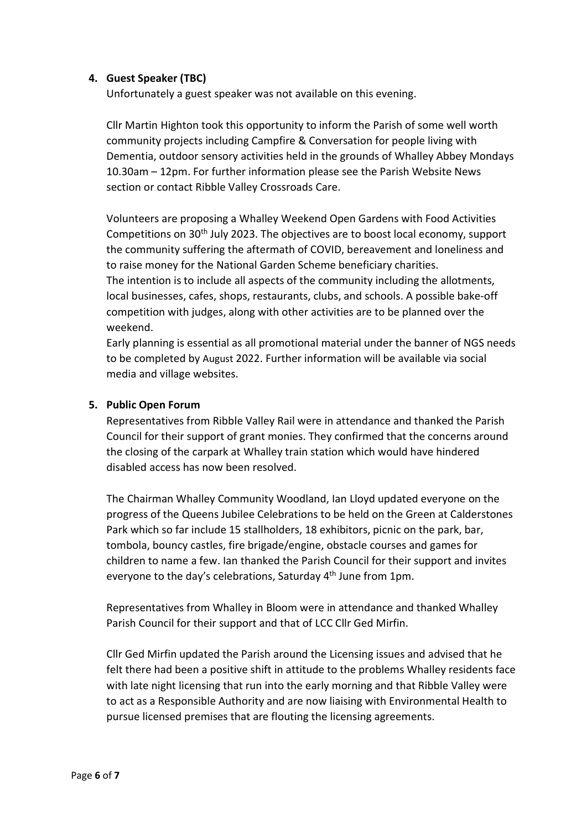#### 4. Guest Speaker (TBC)

Unfortunately a guest speaker was not available on this evening.

Cllr Martin Highton took this opportunity to inform the Parish of some well worth community projects including Campfire & Conversation for people living with Dementia, outdoor sensory activities held in the grounds of Whalley Abbey Mondays 10.30am – 12pm. For further information please see the Parish Website News section or contact Ribble Valley Crossroads Care.

Volunteers are proposing a Whalley Weekend Open Gardens with Food Activities Competitions on 30th July 2023. The objectives are to boost local economy, support the community suffering the aftermath of COVID, bereavement and loneliness and to raise money for the National Garden Scheme beneficiary charities.

The intention is to include all aspects of the community including the allotments, local businesses, cafes, shops, restaurants, clubs, and schools. A possible bake-off competition with judges, along with other activities are to be planned over the weekend.

Early planning is essential as all promotional material under the banner of NGS needs to be completed by August 2022. Further information will be available via social media and village websites.

#### 5. Public Open Forum

Representatives from Ribble Valley Rail were in attendance and thanked the Parish Council for their support of grant monies. They confirmed that the concerns around the closing of the carpark at Whalley train station which would have hindered disabled access has now been resolved.

The Chairman Whalley Community Woodland, Ian Lloyd updated everyone on the progress of the Queens Jubilee Celebrations to be held on the Green at Calderstones Park which so far include 15 stallholders, 18 exhibitors, picnic on the park, bar, tombola, bouncy castles, fire brigade/engine, obstacle courses and games for children to name a few. Ian thanked the Parish Council for their support and invites everyone to the day's celebrations, Saturday 4<sup>th</sup> June from 1pm.

Representatives from Whalley in Bloom were in attendance and thanked Whalley Parish Council for their support and that of LCC Cllr Ged Mirfin.

Cllr Ged Mirfin updated the Parish around the Licensing issues and advised that he felt there had been a positive shift in attitude to the problems Whalley residents face with late night licensing that run into the early morning and that Ribble Valley were to act as a Responsible Authority and are now liaising with Environmental Health to pursue licensed premises that are flouting the licensing agreements.